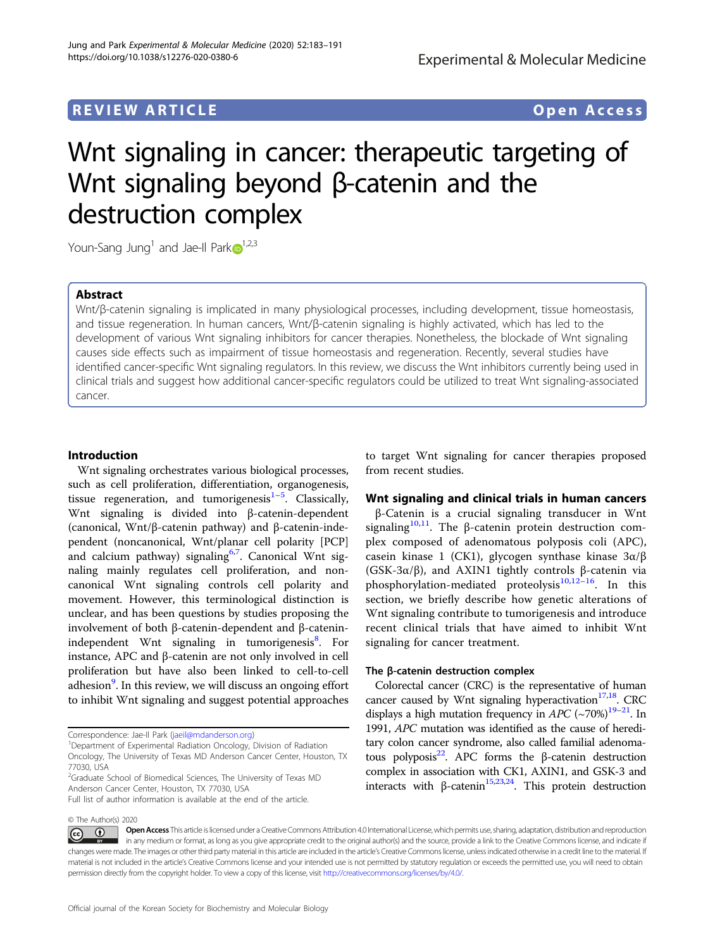# REVIEW ARTICLE Open Access

# Wnt signaling in cancer: therapeutic targeting of Wnt signaling beyond β-catenin and the destruction complex

Youn-Sang Jung<sup>[1](http://orcid.org/0000-0002-0737-2654)</sup> and Jae-Il Park  $\mathbb{D}^{1,2,3}$ 

# Abstract

Wnt/β-catenin signaling is implicated in many physiological processes, including development, tissue homeostasis, and tissue regeneration. In human cancers, Wnt/β-catenin signaling is highly activated, which has led to the development of various Wnt signaling inhibitors for cancer therapies. Nonetheless, the blockade of Wnt signaling causes side effects such as impairment of tissue homeostasis and regeneration. Recently, several studies have identified cancer-specific Wnt signaling regulators. In this review, we discuss the Wnt inhibitors currently being used in clinical trials and suggest how additional cancer-specific regulators could be utilized to treat Wnt signaling-associated cancer.

# Introduction

Wnt signaling orchestrates various biological processes, such as cell proliferation, differentiation, organogenesis, tissue regeneration, and tumorigenesis<sup>[1](#page-6-0)-[5](#page-6-0)</sup>. Classically, Wnt signaling is divided into β-catenin-dependent (canonical, Wnt/β-catenin pathway) and β-catenin-independent (noncanonical, Wnt/planar cell polarity [PCP] and calcium pathway) signaling<sup>[6,7](#page-6-0)</sup>. Canonical Wnt signaling mainly regulates cell proliferation, and noncanonical Wnt signaling controls cell polarity and movement. However, this terminological distinction is unclear, and has been questions by studies proposing the involvement of both β-catenin-dependent and β-catenin-independent Wnt signaling in tumorigenesis<sup>[8](#page-6-0)</sup>. For instance, APC and β-catenin are not only involved in cell proliferation but have also been linked to cell-to-cell adhesion<sup>[9](#page-6-0)</sup>. In this review, we will discuss an ongoing effort to inhibit Wnt signaling and suggest potential approaches

<sup>1</sup>Department of Experimental Radiation Oncology, Division of Radiation

to target Wnt signaling for cancer therapies proposed from recent studies.

# Wnt signaling and clinical trials in human cancers

β-Catenin is a crucial signaling transducer in Wnt signaling<sup>[10,11](#page-6-0)</sup>. The β-catenin protein destruction complex composed of adenomatous polyposis coli (APC), casein kinase 1 (CK1), glycogen synthase kinase  $3α/β$ (GSK-3α/β), and AXIN1 tightly controls β-catenin via phosphorylation-mediated proteolysis<sup>[10](#page-6-0),[12](#page-6-0)-[16](#page-6-0)</sup>. In this section, we briefly describe how genetic alterations of Wnt signaling contribute to tumorigenesis and introduce recent clinical trials that have aimed to inhibit Wnt signaling for cancer treatment.

# The β-catenin destruction complex

Colorectal cancer (CRC) is the representative of human cancer caused by Wnt signaling hyperactivation $17,18$ . CRC displays a high mutation frequency in APC ( $\sim$ 70%)<sup>[19](#page-6-0)–[21](#page-6-0)</sup>. In 1991, APC mutation was identified as the cause of hereditary colon cancer syndrome, also called familial adenomatous polyposis<sup>22</sup>. APC forms the β-catenin destruction complex in association with CK1, AXIN1, and GSK-3 and interacts with β-catenin<sup>15,[23,24](#page-6-0)</sup>. This protein destruction

© The Author(s) 2020 Open Access This article is licensed under a Creative Commons Attribution 4.0 International License, which permits use, sharing, adaptation, distribution and reproduction in any medium or format, as long as you give appropriate credit to the original author(s) and the source, provide a link to the Creative Commons license, and indicate if changes were made. The images or other third party material in this article are included in the article's Creative Commons license, unless indicated otherwise in a credit line to the material. If material is not included in the article's Creative Commons license and your intended use is not permitted by statutory regulation or exceeds the permitted use, you will need to obtain permission directly from the copyright holder. To view a copy of this license, visit <http://creativecommons.org/licenses/by/4.0/>.

Correspondence: Jae-Il Park ([jaeil@mdanderson.org](mailto:jaeil@mdanderson.org)) <sup>1</sup>

Oncology, The University of Texas MD Anderson Cancer Center, Houston, TX 77030, USA

<sup>&</sup>lt;sup>2</sup>Graduate School of Biomedical Sciences, The University of Texas MD Anderson Cancer Center, Houston, TX 77030, USA Full list of author information is available at the end of the article.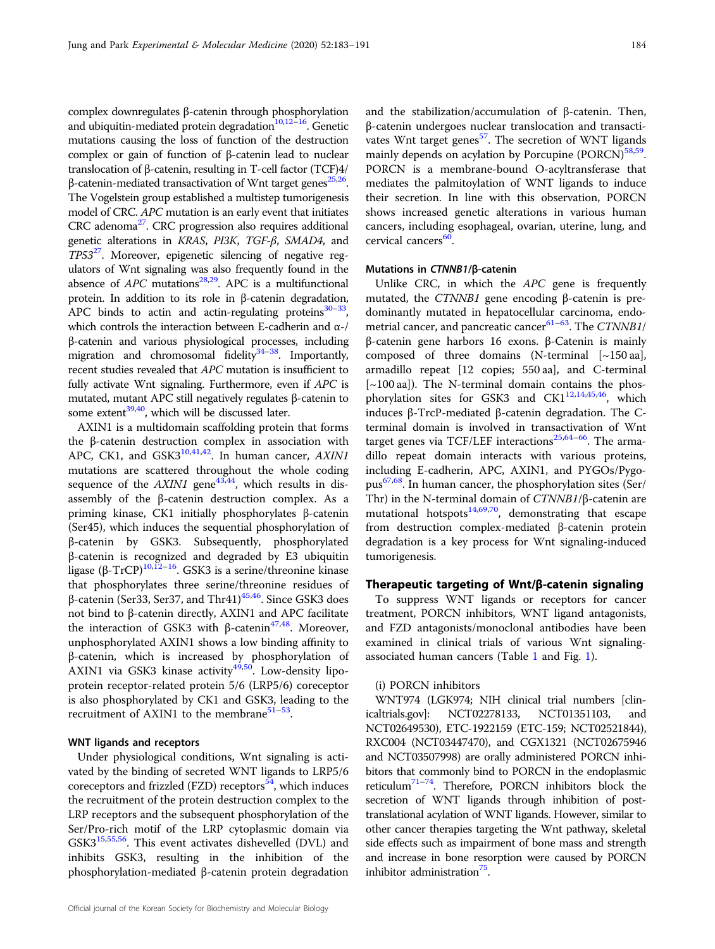complex downregulates β-catenin through phosphorylation and ubiquitin-mediated protein degradation $10,12-16$  $10,12-16$ . Genetic mutations causing the loss of function of the destruction complex or gain of function of β-catenin lead to nuclear translocation of β-catenin, resulting in T-cell factor (TCF)4/ β-catenin-mediated transactivation of Wnt target genes<sup>[25,26](#page-6-0)</sup>. The Vogelstein group established a multistep tumorigenesis model of CRC. APC mutation is an early event that initiates CRC adenoma<sup>27</sup>. CRC progression also requires additional genetic alterations in KRAS, PI3K, TGF-β, SMAD4, and  $TP53^{27}$ . Moreover, epigenetic silencing of negative regulators of Wnt signaling was also frequently found in the absence of  $APC$  mutations<sup>28,29</sup>. APC is a multifunctional protein. In addition to its role in β-catenin degradation, APC binds to actin and actin-regulating proteins $30-33$  $30-33$ , which controls the interaction between E-cadherin and  $\alpha$  -/ β-catenin and various physiological processes, including migration and chromosomal fidelity $34-38$ . Importantly, recent studies revealed that APC mutation is insufficient to fully activate Wnt signaling. Furthermore, even if APC is mutated, mutant APC still negatively regulates β-catenin to some extent $39,40$ , which will be discussed later.

AXIN1 is a multidomain scaffolding protein that forms the β-catenin destruction complex in association with APC, CK1, and GSK3<sup>10,41,42</sup>. In human cancer, AXIN1 mutations are scattered throughout the whole coding sequence of the  $AXIN1$  gene<sup>[43](#page-6-0),[44](#page-6-0)</sup>, which results in disassembly of the β-catenin destruction complex. As a priming kinase, CK1 initially phosphorylates β-catenin (Ser45), which induces the sequential phosphorylation of β-catenin by GSK3. Subsequently, phosphorylated β-catenin is recognized and degraded by E3 ubiquitin ligase (β-TrCP)<sup>[10,12](#page-6-0)–[16](#page-6-0)</sup>. GSK3 is a serine/threonine kinase that phosphorylates three serine/threonine residues of β-catenin (Ser33, Ser37, and Thr41)<sup>[45](#page-6-0),[46](#page-6-0)</sup>. Since GSK3 does not bind to β-catenin directly, AXIN1 and APC facilitate the interaction of GSK3 with β-catenin<sup>47,48</sup>. Moreover, unphosphorylated AXIN1 shows a low binding affinity to β-catenin, which is increased by phosphorylation of AXIN1 via GSK3 kinase activity $49,50$  $49,50$  $49,50$ . Low-density lipoprotein receptor-related protein 5/6 (LRP5/6) coreceptor is also phosphorylated by CK1 and GSK3, leading to the recruitment of AXIN1 to the membrane $51-53$  $51-53$ .

# WNT ligands and receptors

Under physiological conditions, Wnt signaling is activated by the binding of secreted WNT ligands to LRP5/6 coreceptors and frizzled (FZD) receptors $54$ , which induces the recruitment of the protein destruction complex to the LRP receptors and the subsequent phosphorylation of the Ser/Pro-rich motif of the LRP cytoplasmic domain via GSK3[15,](#page-6-0)[55,56.](#page-7-0) This event activates dishevelled (DVL) and inhibits GSK3, resulting in the inhibition of the phosphorylation-mediated β-catenin protein degradation and the stabilization/accumulation of β-catenin. Then, β-catenin undergoes nuclear translocation and transactivates Wnt target genes<sup>57</sup>. The secretion of WNT ligands mainly depends on acylation by Porcupine (PORCN)<sup>[58,59](#page-7-0)</sup>. PORCN is a membrane-bound O-acyltransferase that mediates the palmitoylation of WNT ligands to induce their secretion. In line with this observation, PORCN shows increased genetic alterations in various human cancers, including esophageal, ovarian, uterine, lung, and cervical cancers<sup>[60](#page-7-0)</sup>.

# Mutations in CTNNB1/β-catenin

Unlike CRC, in which the APC gene is frequently mutated, the *CTNNB1* gene encoding β-catenin is predominantly mutated in hepatocellular carcinoma, endometrial cancer, and pancreatic cancer $61-63$  $61-63$  $61-63$ . The CTNNB1/ β-catenin gene harbors 16 exons. β-Catenin is mainly composed of three domains (N-terminal  $[\sim]150$  aa], armadillo repeat [12 copies; 550 aa], and C-terminal  $[\sim]100$  aa]). The N-terminal domain contains the phosphorylation sites for GSK3 and  $CK1^{12,14,45,46}$  $CK1^{12,14,45,46}$  $CK1^{12,14,45,46}$  $CK1^{12,14,45,46}$  $CK1^{12,14,45,46}$ , which induces β-TrcP-mediated β-catenin degradation. The Cterminal domain is involved in transactivation of Wnt target genes via TCF/LEF interactions<sup>[25,](#page-6-0)[64](#page-7-0)–[66](#page-7-0)</sup>. The armadillo repeat domain interacts with various proteins, including E-cadherin, APC, AXIN1, and PYGOs/Pygo-pus<sup>[67](#page-7-0),[68](#page-7-0)</sup>. In human cancer, the phosphorylation sites (Ser/ Thr) in the N-terminal domain of CTNNB1/β-catenin are mutational hotspots $14,69,70$  $14,69,70$  $14,69,70$  $14,69,70$  $14,69,70$ , demonstrating that escape from destruction complex-mediated β-catenin protein degradation is a key process for Wnt signaling-induced tumorigenesis.

# Therapeutic targeting of Wnt/β-catenin signaling

To suppress WNT ligands or receptors for cancer treatment, PORCN inhibitors, WNT ligand antagonists, and FZD antagonists/monoclonal antibodies have been examined in clinical trials of various Wnt signalingassociated human cancers (Table [1](#page-2-0) and Fig. [1](#page-3-0)).

## (i) PORCN inhibitors

WNT974 (LGK974; NIH clinical trial numbers [clinicaltrials.gov]: NCT02278133, NCT01351103, and NCT02649530), ETC-1922159 (ETC-159; NCT02521844), RXC004 (NCT03447470), and CGX1321 (NCT02675946 and NCT03507998) are orally administered PORCN inhibitors that commonly bind to PORCN in the endoplasmic reticulum $^{71-74}$  $^{71-74}$  $^{71-74}$  $^{71-74}$  $^{71-74}$ . Therefore, PORCN inhibitors block the secretion of WNT ligands through inhibition of posttranslational acylation of WNT ligands. However, similar to other cancer therapies targeting the Wnt pathway, skeletal side effects such as impairment of bone mass and strength and increase in bone resorption were caused by PORCN inhibitor administration<sup>75</sup>.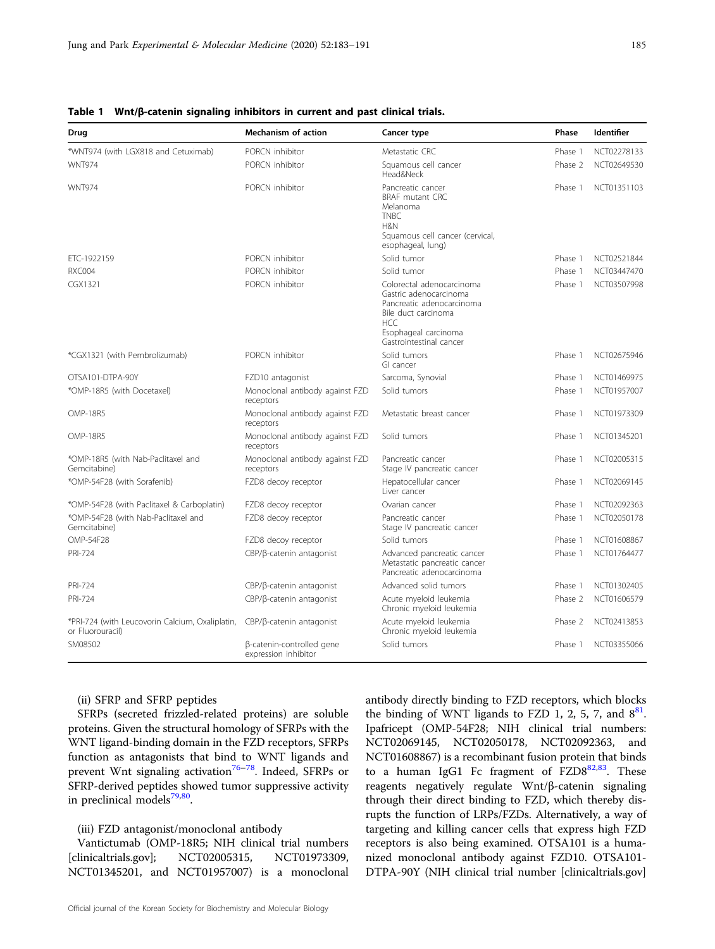| Drug                                                                | Mechanism of action                               | Cancer type                                                                                                                                                              | Phase   | <b>Identifier</b> |
|---------------------------------------------------------------------|---------------------------------------------------|--------------------------------------------------------------------------------------------------------------------------------------------------------------------------|---------|-------------------|
| *WNT974 (with LGX818 and Cetuximab)                                 | PORCN inhibitor                                   | Metastatic CRC                                                                                                                                                           | Phase 1 | NCT02278133       |
| <b>WNT974</b>                                                       | PORCN inhibitor                                   | Squamous cell cancer<br>Head&Neck                                                                                                                                        | Phase 2 | NCT02649530       |
| <b>WNT974</b>                                                       | PORCN inhibitor                                   | Pancreatic cancer<br><b>BRAF mutant CRC</b><br>Melanoma<br><b>TNBC</b><br>H&N<br>Squamous cell cancer (cervical,<br>esophageal, lung)                                    | Phase 1 | NCT01351103       |
| ETC-1922159                                                         | PORCN inhibitor                                   | Solid tumor                                                                                                                                                              | Phase 1 | NCT02521844       |
| RXC004                                                              | PORCN inhibitor                                   | Solid tumor                                                                                                                                                              | Phase 1 | NCT03447470       |
| CGX1321                                                             | PORCN inhibitor                                   | Colorectal adenocarcinoma<br>Gastric adenocarcinoma<br>Pancreatic adenocarcinoma<br>Bile duct carcinoma<br><b>HCC</b><br>Esophageal carcinoma<br>Gastrointestinal cancer | Phase 1 | NCT03507998       |
| *CGX1321 (with Pembrolizumab)                                       | PORCN inhibitor                                   | Solid tumors<br>Gl cancer                                                                                                                                                | Phase 1 | NCT02675946       |
| OTSA101-DTPA-90Y                                                    | FZD10 antagonist                                  | Sarcoma, Synovial                                                                                                                                                        | Phase 1 | NCT01469975       |
| *OMP-18R5 (with Docetaxel)                                          | Monoclonal antibody against FZD<br>receptors      | Solid tumors                                                                                                                                                             | Phase 1 | NCT01957007       |
| <b>OMP-18R5</b>                                                     | Monoclonal antibody against FZD<br>receptors      | Metastatic breast cancer                                                                                                                                                 | Phase 1 | NCT01973309       |
| <b>OMP-18R5</b>                                                     | Monoclonal antibody against FZD<br>receptors      | Solid tumors                                                                                                                                                             | Phase 1 | NCT01345201       |
| *OMP-18R5 (with Nab-Paclitaxel and<br>Gemcitabine)                  | Monoclonal antibody against FZD<br>receptors      | Pancreatic cancer<br>Stage IV pancreatic cancer                                                                                                                          | Phase 1 | NCT02005315       |
| *OMP-54F28 (with Sorafenib)                                         | FZD8 decoy receptor                               | Hepatocellular cancer<br>Liver cancer                                                                                                                                    | Phase 1 | NCT02069145       |
| *OMP-54F28 (with Paclitaxel & Carboplatin)                          | FZD8 decoy receptor                               | Ovarian cancer                                                                                                                                                           | Phase 1 | NCT02092363       |
| *OMP-54F28 (with Nab-Paclitaxel and<br>Gemcitabine)                 | FZD8 decoy receptor                               | Pancreatic cancer<br>Stage IV pancreatic cancer                                                                                                                          | Phase 1 | NCT02050178       |
| OMP-54F28                                                           | FZD8 decoy receptor                               | Solid tumors                                                                                                                                                             | Phase 1 | NCT01608867       |
| <b>PRI-724</b>                                                      | CBP/β-catenin antagonist                          | Advanced pancreatic cancer<br>Metastatic pancreatic cancer<br>Pancreatic adenocarcinoma                                                                                  | Phase 1 | NCT01764477       |
| <b>PRI-724</b>                                                      | CBP/β-catenin antagonist                          | Advanced solid tumors                                                                                                                                                    | Phase 1 | NCT01302405       |
| PRI-724                                                             | CBP/β-catenin antagonist                          | Acute myeloid leukemia<br>Chronic myeloid leukemia                                                                                                                       | Phase 2 | NCT01606579       |
| *PRI-724 (with Leucovorin Calcium, Oxaliplatin,<br>or Fluorouracil) | $CBP/B$ -catenin antagonist                       | Acute myeloid leukemia<br>Chronic myeloid leukemia                                                                                                                       | Phase 2 | NCT02413853       |
| SM08502                                                             | β-catenin-controlled gene<br>expression inhibitor | Solid tumors                                                                                                                                                             | Phase 1 | NCT03355066       |

<span id="page-2-0"></span>Table 1 Wnt/β-catenin signaling inhibitors in current and past clinical trials.

# (ii) SFRP and SFRP peptides

SFRPs (secreted frizzled-related proteins) are soluble proteins. Given the structural homology of SFRPs with the WNT ligand-binding domain in the FZD receptors, SFRPs function as antagonists that bind to WNT ligands and prevent Wnt signaling activation<sup>[76](#page-7-0)-[78](#page-7-0)</sup>. Indeed, SFRPs or SFRP-derived peptides showed tumor suppressive activity in preclinical models $79,80$ .

# (iii) FZD antagonist/monoclonal antibody

Vantictumab (OMP-18R5; NIH clinical trial numbers [clinicaltrials.gov]; NCT02005315, NCT01973309, NCT01345201, and NCT01957007) is a monoclonal antibody directly binding to FZD receptors, which blocks the binding of WNT ligands to FZD 1, 2, 5, 7, and  $8^{81}$ . Ipafricept (OMP-54F28; NIH clinical trial numbers: NCT02069145, NCT02050178, NCT02092363, and NCT01608867) is a recombinant fusion protein that binds to a human IgG1 Fc fragment of  $FZD8^{82,83}$ . These reagents negatively regulate Wnt/β-catenin signaling through their direct binding to FZD, which thereby disrupts the function of LRPs/FZDs. Alternatively, a way of targeting and killing cancer cells that express high FZD receptors is also being examined. OTSA101 is a humanized monoclonal antibody against FZD10. OTSA101- DTPA-90Y (NIH clinical trial number [clinicaltrials.gov]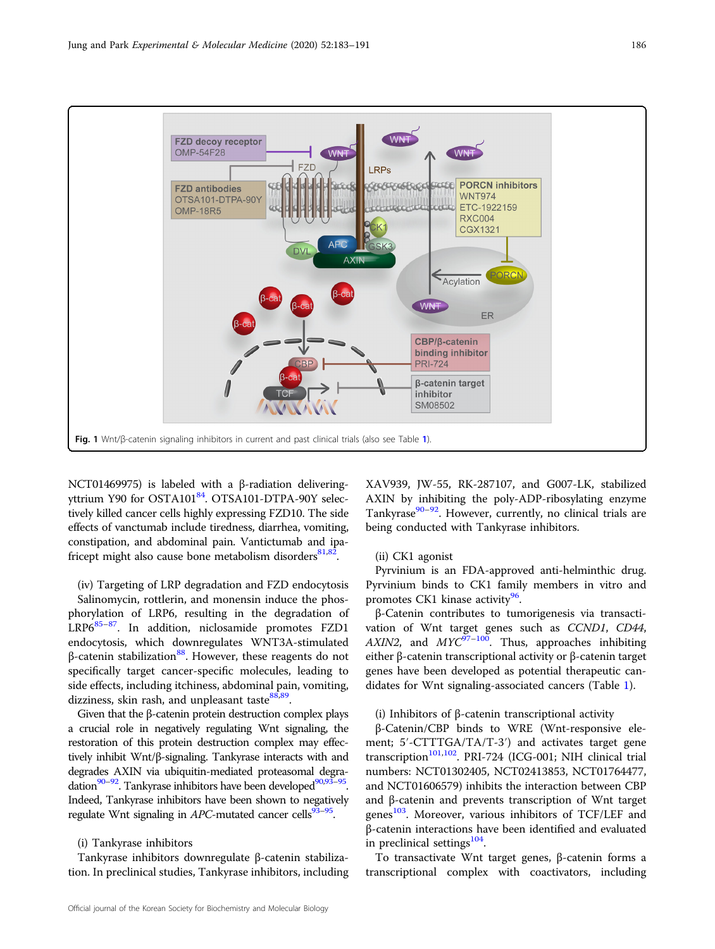<span id="page-3-0"></span>

NCT01469975) is labeled with a β-radiation deliveringyttrium Y90 for OSTA101<sup>84</sup>. OTSA101-DTPA-90Y selectively killed cancer cells highly expressing FZD10. The side effects of vanctumab include tiredness, diarrhea, vomiting, constipation, and abdominal pain. Vantictumab and ipafricept might also cause bone metabolism disorders $81,82$ .

(iv) Targeting of LRP degradation and FZD endocytosis

Salinomycin, rottlerin, and monensin induce the phosphorylation of LRP6, resulting in the degradation of LRP6<sup>[85](#page-7-0)-87</sup>. In addition, niclosamide promotes FZD1 endocytosis, which downregulates WNT3A-stimulated  $β$ -catenin stabilization<sup>[88](#page-7-0)</sup>. However, these reagents do not specifically target cancer-specific molecules, leading to side effects, including itchiness, abdominal pain, vomiting, dizziness, skin rash, and unpleasant taste $88,89$ .

Given that the β-catenin protein destruction complex plays a crucial role in negatively regulating Wnt signaling, the restoration of this protein destruction complex may effectively inhibit Wnt/β-signaling. Tankyrase interacts with and degrades AXIN via ubiquitin-mediated proteasomal degradation $90-92$ . Tankyrase inhibitors have been developed $90,93-95$  $90,93-95$  $90,93-95$  $90,93-95$ . Indeed, Tankyrase inhibitors have been shown to negatively regulate Wnt signaling in APC-mutated cancer cells<sup>[93](#page-7-0)–[95](#page-7-0)</sup>.

# (i) Tankyrase inhibitors

Tankyrase inhibitors downregulate β-catenin stabilization. In preclinical studies, Tankyrase inhibitors, including XAV939, JW-55, RK-287107, and G007-LK, stabilized AXIN by inhibiting the poly-ADP-ribosylating enzyme Tankyrase $90-92$  $90-92$ . However, currently, no clinical trials are being conducted with Tankyrase inhibitors.

# (ii) CK1 agonist

Pyrvinium is an FDA-approved anti-helminthic drug. Pyrvinium binds to CK1 family members in vitro and promotes CK1 kinase activity<sup>96</sup>.

β-Catenin contributes to tumorigenesis via transactivation of Wnt target genes such as CCND1, CD44, AXIN2, and  $MYC^{97-100}$  $MYC^{97-100}$  $MYC^{97-100}$ . Thus, approaches inhibiting either β-catenin transcriptional activity or β-catenin target genes have been developed as potential therapeutic candidates for Wnt signaling-associated cancers (Table [1](#page-2-0)).

# (i) Inhibitors of β-catenin transcriptional activity

β-Catenin/CBP binds to WRE (Wnt-responsive element; 5′-CTTTGA/TA/T-3′) and activates target gene transcription<sup>101,102</sup>. PRI-724 (ICG-001; NIH clinical trial numbers: NCT01302405, NCT02413853, NCT01764477, and NCT01606579) inhibits the interaction between CBP and β-catenin and prevents transcription of Wnt target genes<sup>[103](#page-7-0)</sup>. Moreover, various inhibitors of TCF/LEF and β-catenin interactions have been identified and evaluated in preclinical settings $104$ .

To transactivate Wnt target genes, β-catenin forms a transcriptional complex with coactivators, including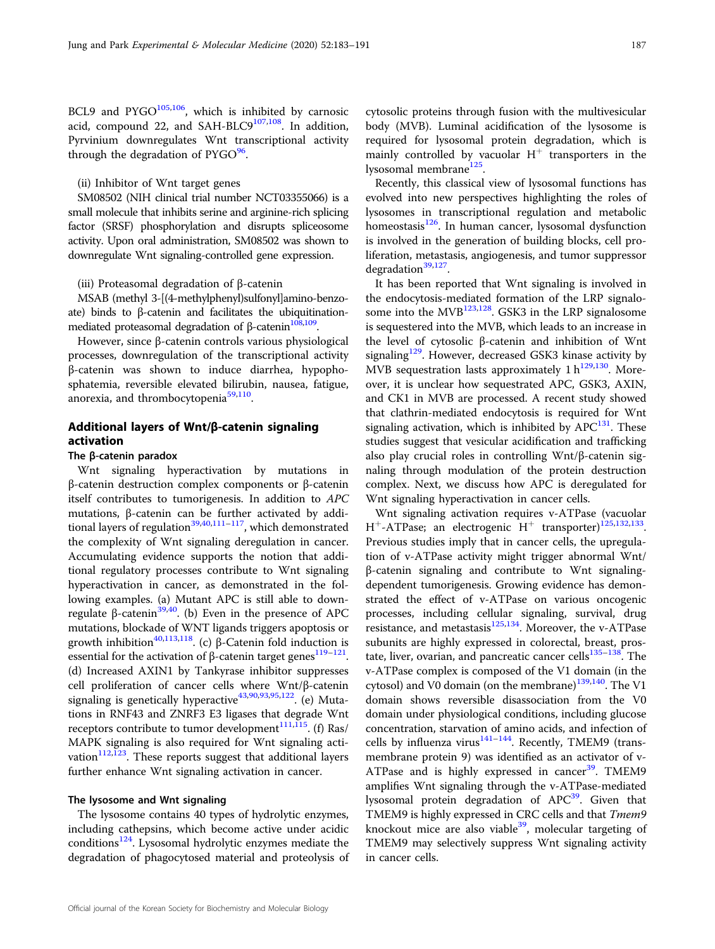BCL9 and PYGO $105,106$ , which is inhibited by carnosic acid, compound 22, and SAH-BLC9 $107,108$ . In addition, Pyrvinium downregulates Wnt transcriptional activity through the degradation of  $PYGO<sup>96</sup>$ .

# (ii) Inhibitor of Wnt target genes

SM08502 (NIH clinical trial number NCT03355066) is a small molecule that inhibits serine and arginine-rich splicing factor (SRSF) phosphorylation and disrupts spliceosome activity. Upon oral administration, SM08502 was shown to downregulate Wnt signaling-controlled gene expression.

## (iii) Proteasomal degradation of β-catenin

MSAB (methyl 3-[(4-methylphenyl)sulfonyl]amino-benzoate) binds to β-catenin and facilitates the ubiquitinationmediated proteasomal degradation of  $\beta$ -catenin<sup>108,109</sup>.

However, since β-catenin controls various physiological processes, downregulation of the transcriptional activity β-catenin was shown to induce diarrhea, hypophosphatemia, reversible elevated bilirubin, nausea, fatigue, anorexia, and thrombocytopenia<sup>[59,](#page-7-0)[110](#page-8-0)</sup>.

# Additional layers of Wnt/β-catenin signaling activation

# The β-catenin paradox

Wnt signaling hyperactivation by mutations in β-catenin destruction complex components or β-catenin itself contributes to tumorigenesis. In addition to APC mutations, β-catenin can be further activated by addi-tional layers of regulation<sup>[39,40](#page-6-0)[,111](#page-8-0)–[117](#page-8-0)</sup>, which demonstrated the complexity of Wnt signaling deregulation in cancer. Accumulating evidence supports the notion that additional regulatory processes contribute to Wnt signaling hyperactivation in cancer, as demonstrated in the following examples. (a) Mutant APC is still able to down-regulate β-catenin<sup>[39,40](#page-6-0)</sup>. (b) Even in the presence of APC mutations, blockade of WNT ligands triggers apoptosis or growth inhibition<sup>[40](#page-6-0)[,113](#page-8-0),118</sup>. (c) β-Catenin fold induction is essential for the activation of  $\beta$ -catenin target genes<sup>119–[121](#page-8-0)</sup>. (d) Increased AXIN1 by Tankyrase inhibitor suppresses cell proliferation of cancer cells where Wnt/β-catenin signaling is genetically hyperactive<sup>[43](#page-6-0)[,90,93,95,](#page-7-0)[122](#page-8-0)</sup>. (e) Mutations in RNF43 and ZNRF3 E3 ligases that degrade Wnt receptors contribute to tumor development $111,115$ . (f) Ras/ MAPK signaling is also required for Wnt signaling activation $112,123$ . These reports suggest that additional layers further enhance Wnt signaling activation in cancer.

# The lysosome and Wnt signaling

The lysosome contains 40 types of hydrolytic enzymes, including cathepsins, which become active under acidic conditions $124$ . Lysosomal hydrolytic enzymes mediate the degradation of phagocytosed material and proteolysis of

cytosolic proteins through fusion with the multivesicular body (MVB). Luminal acidification of the lysosome is required for lysosomal protein degradation, which is mainly controlled by vacuolar  $H^+$  transporters in the lysosomal membrane<sup>[125](#page-8-0)</sup>.

Recently, this classical view of lysosomal functions has evolved into new perspectives highlighting the roles of lysosomes in transcriptional regulation and metabolic homeostasis<sup>[126](#page-8-0)</sup>. In human cancer, lysosomal dysfunction is involved in the generation of building blocks, cell proliferation, metastasis, angiogenesis, and tumor suppressor degradation $39,127$  $39,127$ .

It has been reported that Wnt signaling is involved in the endocytosis-mediated formation of the LRP signalosome into the MVB $^{123,128}$  $^{123,128}$  $^{123,128}$ . GSK3 in the LRP signalosome is sequestered into the MVB, which leads to an increase in the level of cytosolic β-catenin and inhibition of Wnt signaling<sup>129</sup>. However, decreased GSK3 kinase activity by MVB sequestration lasts approximately  $1 h^{129,130}$ . Moreover, it is unclear how sequestrated APC, GSK3, AXIN, and CK1 in MVB are processed. A recent study showed that clathrin-mediated endocytosis is required for Wnt signaling activation, which is inhibited by  $APC<sup>131</sup>$ . These studies suggest that vesicular acidification and trafficking also play crucial roles in controlling Wnt/β-catenin signaling through modulation of the protein destruction complex. Next, we discuss how APC is deregulated for Wnt signaling hyperactivation in cancer cells.

Wnt signaling activation requires v-ATPase (vacuolar  $H^+$ -ATPase; an electrogenic  $H^+$  transporter)<sup>[125](#page-8-0),[132,133](#page-8-0)</sup>. Previous studies imply that in cancer cells, the upregulation of v-ATPase activity might trigger abnormal Wnt/ β-catenin signaling and contribute to Wnt signalingdependent tumorigenesis. Growing evidence has demonstrated the effect of v-ATPase on various oncogenic processes, including cellular signaling, survival, drug resistance, and metastasis $125,134$  $125,134$ . Moreover, the v-ATPase subunits are highly expressed in colorectal, breast, prostate, liver, ovarian, and pancreatic cancer cells $^{135-138}$  $^{135-138}$  $^{135-138}$ . The v-ATPase complex is composed of the V1 domain (in the cytosol) and V0 domain (on the membrane)<sup>[139,140](#page-8-0)</sup>. The V1 domain shows reversible disassociation from the V0 domain under physiological conditions, including glucose concentration, starvation of amino acids, and infection of cells by influenza virus $141-144$  $141-144$  $141-144$ . Recently, TMEM9 (transmembrane protein 9) was identified as an activator of v-ATPase and is highly expressed in cancer<sup>[39](#page-6-0)</sup>. TMEM9 amplifies Wnt signaling through the v-ATPase-mediated lysosomal protein degradation of  $APC<sup>39</sup>$  $APC<sup>39</sup>$  $APC<sup>39</sup>$ . Given that TMEM9 is highly expressed in CRC cells and that Tmem9 knockout mice are also viable<sup>39</sup>, molecular targeting of TMEM9 may selectively suppress Wnt signaling activity in cancer cells.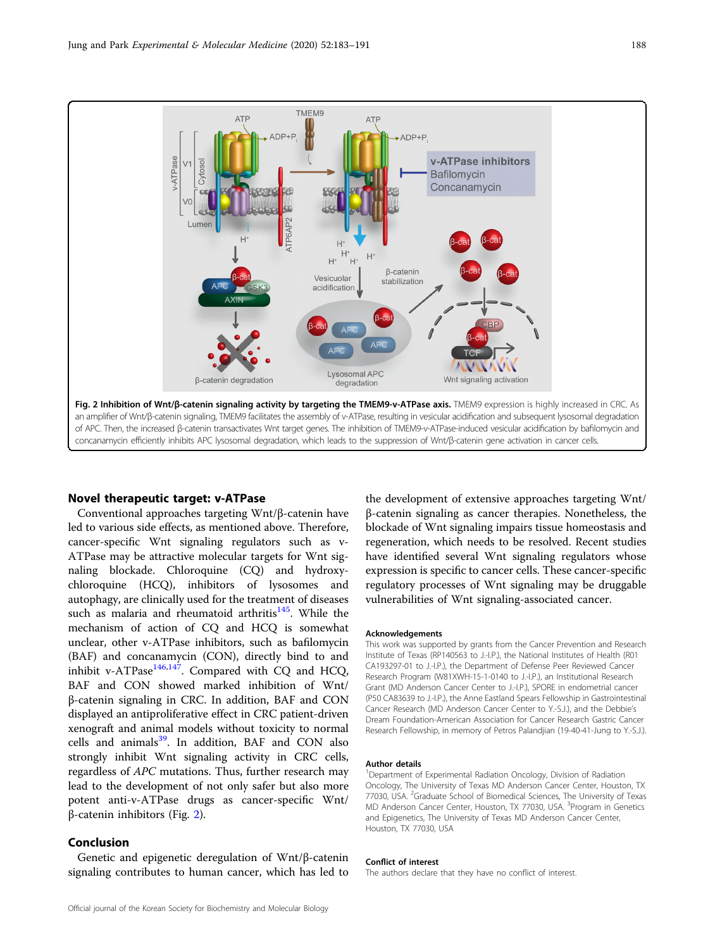

# Novel therapeutic target: v-ATPase

Conventional approaches targeting Wnt/β-catenin have led to various side effects, as mentioned above. Therefore, cancer-specific Wnt signaling regulators such as v-ATPase may be attractive molecular targets for Wnt signaling blockade. Chloroquine (CQ) and hydroxychloroquine (HCQ), inhibitors of lysosomes and autophagy, are clinically used for the treatment of diseases such as malaria and rheumatoid arthritis $145$ . While the mechanism of action of CQ and HCQ is somewhat unclear, other v-ATPase inhibitors, such as bafilomycin (BAF) and concanamycin (CON), directly bind to and inhibit v-ATPase<sup>[146,147](#page-8-0)</sup>. Compared with CQ and HCQ, BAF and CON showed marked inhibition of Wnt/ β-catenin signaling in CRC. In addition, BAF and CON displayed an antiproliferative effect in CRC patient-driven xenograft and animal models without toxicity to normal cells and animals $39$ . In addition, BAF and CON also strongly inhibit Wnt signaling activity in CRC cells, regardless of APC mutations. Thus, further research may lead to the development of not only safer but also more potent anti-v-ATPase drugs as cancer-specific Wnt/ β-catenin inhibitors (Fig. 2).

# Conclusion

Genetic and epigenetic deregulation of Wnt/β-catenin signaling contributes to human cancer, which has led to

the development of extensive approaches targeting Wnt/ β-catenin signaling as cancer therapies. Nonetheless, the blockade of Wnt signaling impairs tissue homeostasis and regeneration, which needs to be resolved. Recent studies have identified several Wnt signaling regulators whose expression is specific to cancer cells. These cancer-specific regulatory processes of Wnt signaling may be druggable vulnerabilities of Wnt signaling-associated cancer.

#### Acknowledgements

This work was supported by grants from the Cancer Prevention and Research Institute of Texas (RP140563 to J.-I.P.), the National Institutes of Health (R01 CA193297-01 to J.-I.P.), the Department of Defense Peer Reviewed Cancer Research Program (W81XWH-15-1-0140 to J.-I.P.), an Institutional Research Grant (MD Anderson Cancer Center to J.-I.P.), SPORE in endometrial cancer (P50 CA83639 to J.-I.P.), the Anne Eastland Spears Fellowship in Gastrointestinal Cancer Research (MD Anderson Cancer Center to Y.-S.J.), and the Debbie's Dream Foundation-American Association for Cancer Research Gastric Cancer Research Fellowship, in memory of Petros Palandjian (19-40-41-Jung to Y.-S.J.).

#### Author details

<sup>1</sup>Department of Experimental Radiation Oncology, Division of Radiation Oncology, The University of Texas MD Anderson Cancer Center, Houston, TX 77030, USA. <sup>2</sup>Graduate School of Biomedical Sciences, The University of Texas MD Anderson Cancer Center, Houston, TX 77030, USA. <sup>3</sup>Program in Genetics and Epigenetics, The University of Texas MD Anderson Cancer Center, Houston, TX 77030, USA

#### Conflict of interest

The authors declare that they have no conflict of interest.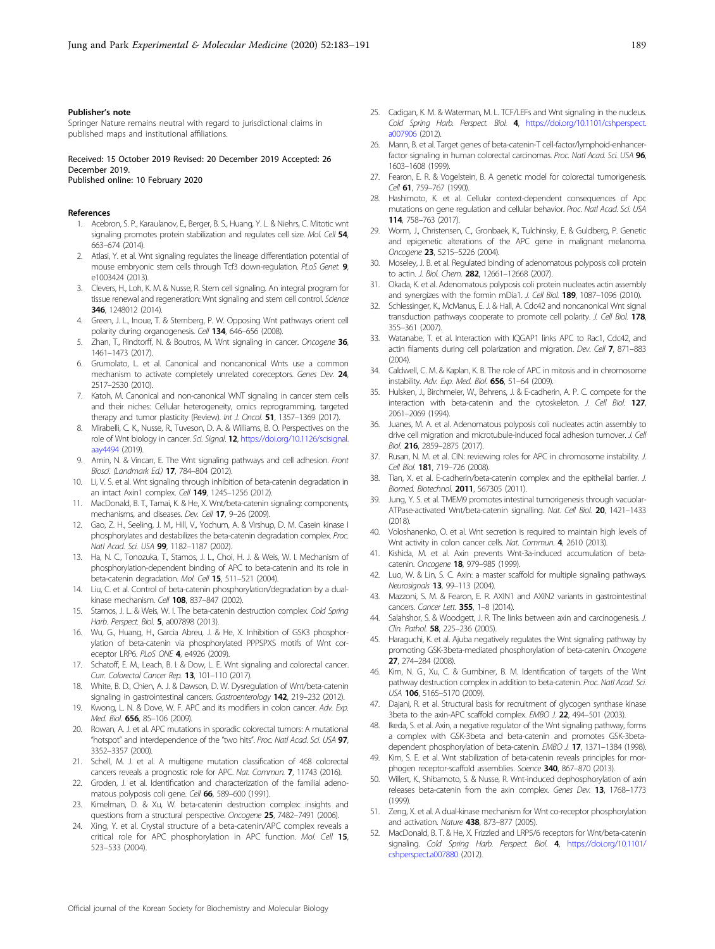#### <span id="page-6-0"></span>Publisher's note

Springer Nature remains neutral with regard to jurisdictional claims in published maps and institutional affiliations.

#### Received: 15 October 2019 Revised: 20 December 2019 Accepted: 26 December 2019.

Published online: 10 February 2020

#### References

- 1. Acebron, S. P., Karaulanov, E., Berger, B. S., Huang, Y. L. & Niehrs, C. Mitotic wnt signaling promotes protein stabilization and regulates cell size. Mol. Cell 54, 663–674 (2014).
- 2. Atlasi, Y. et al. Wnt signaling regulates the lineage differentiation potential of mouse embryonic stem cells through Tcf3 down-regulation. PLoS Genet. 9, e1003424 (2013).
- 3. Clevers, H., Loh, K. M. & Nusse, R. Stem cell signaling. An integral program for tissue renewal and regeneration: Wnt signaling and stem cell control. Science 346, 1248012 (2014).
- 4. Green, J. L., Inoue, T. & Sternberg, P. W. Opposing Wnt pathways orient cell polarity during organogenesis. Cell 134, 646–656 (2008).
- Zhan, T., Rindtorff, N. & Boutros, M. Wnt signaling in cancer. Oncogene 36, 1461–1473 (2017).
- 6. Grumolato, L. et al. Canonical and noncanonical Wnts use a common mechanism to activate completely unrelated coreceptors. Genes Dev. 24, 2517–2530 (2010).
- 7. Katoh, M. Canonical and non-canonical WNT signaling in cancer stem cells and their niches: Cellular heterogeneity, omics reprogramming, targeted therapy and tumor plasticity (Review). Int J. Oncol. 51, 1357-1369 (2017).
- 8. Mirabelli, C. K., Nusse, R., Tuveson, D. A. & Williams, B. O. Perspectives on the role of Wnt biology in cancer. Sci. Signal. 12, [https://doi.org/10.1126/scisignal.](https://doi.org/10.1126/scisignal.aay4494) [aay4494](https://doi.org/10.1126/scisignal.aay4494) (2019).
- 9. Amin, N. & Vincan, E. The Wnt signaling pathways and cell adhesion. Front Biosci. (Landmark Ed.) 17, 784–804 (2012).
- 10. Li, V. S. et al. Wnt signaling through inhibition of beta-catenin degradation in an intact Axin1 complex. Cell 149, 1245-1256 (2012).
- 11. MacDonald, B. T., Tamai, K. & He, X. Wnt/beta-catenin signaling: components, mechanisms, and diseases. Dev. Cell 17, 9–26 (2009).
- Gao, Z. H., Seeling, J. M., Hill, V., Yochum, A. & Virshup, D. M. Casein kinase I phosphorylates and destabilizes the beta-catenin degradation complex. Proc. Natl Acad. Sci. USA 99, 1182–1187 (2002).
- 13. Ha, N. C., Tonozuka, T., Stamos, J. L., Choi, H. J. & Weis, W. I. Mechanism of phosphorylation-dependent binding of APC to beta-catenin and its role in beta-catenin degradation. Mol. Cell 15, 511-521 (2004).
- 14. Liu, C. et al. Control of beta-catenin phosphorylation/degradation by a dualkinase mechanism. Cell 108, 837-847 (2002).
- 15. Stamos, J. L. & Weis, W. I. The beta-catenin destruction complex. Cold Spring Harb. Perspect. Biol. 5, a007898 (2013).
- 16. Wu, G., Huang, H., Garcia Abreu, J. & He, X. Inhibition of GSK3 phosphorylation of beta-catenin via phosphorylated PPPSPXS motifs of Wnt coreceptor LRP6. PLoS ONE 4, e4926 (2009).
- 17. Schatoff, E. M., Leach, B. I. & Dow, L. E. Wnt signaling and colorectal cancer. Curr. Colorectal Cancer Rep. 13, 101-110 (2017).
- 18. White, B. D., Chien, A. J. & Dawson, D. W. Dysregulation of Wnt/beta-catenin signaling in gastrointestinal cancers. Gastroenterology 142, 219-232 (2012).
- 19. Kwong, L. N. & Dove, W. F. APC and its modifiers in colon cancer. Adv. Exp. Med. Biol. 656, 85-106 (2009).
- 20. Rowan, A. J. et al. APC mutations in sporadic colorectal tumors: A mutational "hotspot" and interdependence of the "two hits". Proc. Natl Acad. Sci. USA 97, 3352–3357 (2000).
- 21. Schell, M. J. et al. A multigene mutation classification of 468 colorectal cancers reveals a prognostic role for APC. Nat. Commun. 7, 11743 (2016).
- 22. Groden, J. et al. Identification and characterization of the familial adenomatous polyposis coli gene. Cell 66, 589–600 (1991).
- 23. Kimelman, D. & Xu, W. beta-catenin destruction complex: insights and questions from a structural perspective. Oncogene 25, 7482–7491 (2006).
- 24. Xing, Y. et al. Crystal structure of a beta-catenin/APC complex reveals a critical role for APC phosphorylation in APC function. Mol. Cell 15, 523–533 (2004).
- 25. Cadigan, K. M. & Waterman, M. L. TCF/LEFs and Wnt signaling in the nucleus. Cold Spring Harb. Perspect. Biol. 4, [https://doi.org/10.1101/cshperspect.](https://doi.org/10.1101/cshperspect.a007906) [a007906](https://doi.org/10.1101/cshperspect.a007906) (2012).
- 26. Mann, B. et al. Target genes of beta-catenin-T cell-factor/lymphoid-enhancerfactor signaling in human colorectal carcinomas. Proc. Natl Acad. Sci. USA 96, 1603–1608 (1999).
- 27. Fearon, E. R. & Vogelstein, B. A genetic model for colorectal tumorigenesis. Cell **61**, 759-767 (1990).
- 28. Hashimoto, K. et al. Cellular context-dependent consequences of Apc mutations on gene regulation and cellular behavior. Proc. Natl Acad. Sci. USA 114, 758–763 (2017).
- 29. Worm, J., Christensen, C., Gronbaek, K., Tulchinsky, E. & Guldberg, P. Genetic and epigenetic alterations of the APC gene in malignant melanoma. Oncogene 23, 5215–5226 (2004).
- 30. Moseley, J. B. et al. Regulated binding of adenomatous polyposis coli protein to actin. J. Biol. Chem. 282, 12661–12668 (2007).
- 31. Okada, K. et al. Adenomatous polyposis coli protein nucleates actin assembly and synergizes with the formin mDia1. J. Cell Biol. 189, 1087-1096 (2010).
- 32. Schlessinger, K., McManus, E. J. & Hall, A. Cdc42 and noncanonical Wnt signal transduction pathways cooperate to promote cell polarity. J. Cell Biol. 178, 355–361 (2007).
- 33. Watanabe, T. et al. Interaction with IQGAP1 links APC to Rac1, Cdc42, and actin filaments during cell polarization and migration. Dev. Cell 7, 871–883  $(2004)$
- 34. Caldwell, C. M. & Kaplan, K. B. The role of APC in mitosis and in chromosome instability. Adv. Exp. Med. Biol. 656, 51–64 (2009).
- 35. Hulsken, J., Birchmeier, W., Behrens, J. & E-cadherin, A. P. C. compete for the interaction with beta-catenin and the cytoskeleton. J. Cell Biol. 127, 2061–2069 (1994).
- 36. Juanes, M. A. et al. Adenomatous polyposis coli nucleates actin assembly to drive cell migration and microtubule-induced focal adhesion turnover. J. Cell Biol. 216, 2859–2875 (2017).
- 37. Rusan, N. M. et al. CIN: reviewing roles for APC in chromosome instability. J. Cell Biol. 181, 719-726 (2008).
- 38. Tian, X. et al. E-cadherin/beta-catenin complex and the epithelial barrier. J. Biomed. Biotechnol. 2011, 567305 (2011).
- 39. Jung, Y. S. et al. TMEM9 promotes intestinal tumorigenesis through vacuolar-ATPase-activated Wnt/beta-catenin signalling. Nat. Cell Biol. 20, 1421–1433  $(2018)$
- 40. Voloshanenko, O. et al. Wnt secretion is required to maintain high levels of Wnt activity in colon cancer cells. Nat. Commun. 4, 2610 (2013).
- 41. Kishida, M. et al. Axin prevents Wnt-3a-induced accumulation of betacatenin. Oncogene 18, 979-985 (1999).
- 42. Luo, W. & Lin, S. C. Axin: a master scaffold for multiple signaling pathways. Neurosignals 13, 99–113 (2004).
- 43. Mazzoni, S. M. & Fearon, E. R. AXIN1 and AXIN2 variants in gastrointestinal cancers. Cancer Lett. 355, 1–8 (2014).
- 44. Salahshor, S. & Woodgett, J. R. The links between axin and carcinogenesis. J. Clin. Pathol. 58, 225-236 (2005).
- 45. Haraguchi, K. et al. Ajuba negatively regulates the Wnt signaling pathway by promoting GSK-3beta-mediated phosphorylation of beta-catenin. Oncogene 27, 274–284 (2008).
- 46. Kim, N. G., Xu, C. & Gumbiner, B. M. Identification of targets of the Wnt pathway destruction complex in addition to beta-catenin. Proc. Natl Acad. Sci. USA 106, 5165–5170 (2009).
- 47. Dajani, R. et al. Structural basis for recruitment of glycogen synthase kinase 3beta to the axin-APC scaffold complex. EMBO J. 22, 494-501 (2003).
- 48. Ikeda, S. et al. Axin, a negative regulator of the Wnt signaling pathway, forms a complex with GSK-3beta and beta-catenin and promotes GSK-3betadependent phosphorylation of beta-catenin. EMBO J. 17, 1371–1384 (1998).
- 49. Kim, S. E. et al. Wnt stabilization of beta-catenin reveals principles for morphogen receptor-scaffold assemblies. Science 340, 867–870 (2013).
- 50. Willert, K., Shibamoto, S. & Nusse, R. Wnt-induced dephosphorylation of axin releases beta-catenin from the axin complex. Genes Dev. 13, 1768-1773 (1999).
- 51. Zeng, X. et al. A dual-kinase mechanism for Wnt co-receptor phosphorylation and activation. Nature 438, 873–877 (2005).
- 52. MacDonald, B. T. & He, X. Frizzled and LRP5/6 receptors for Wnt/beta-catenin signaling. Cold Spring Harb. Perspect. Biol. 4, [https://doi.org/10.1101/](https://doi.org/10.1101/cshperspect.a007880) [cshperspect.a007880](https://doi.org/10.1101/cshperspect.a007880) (2012).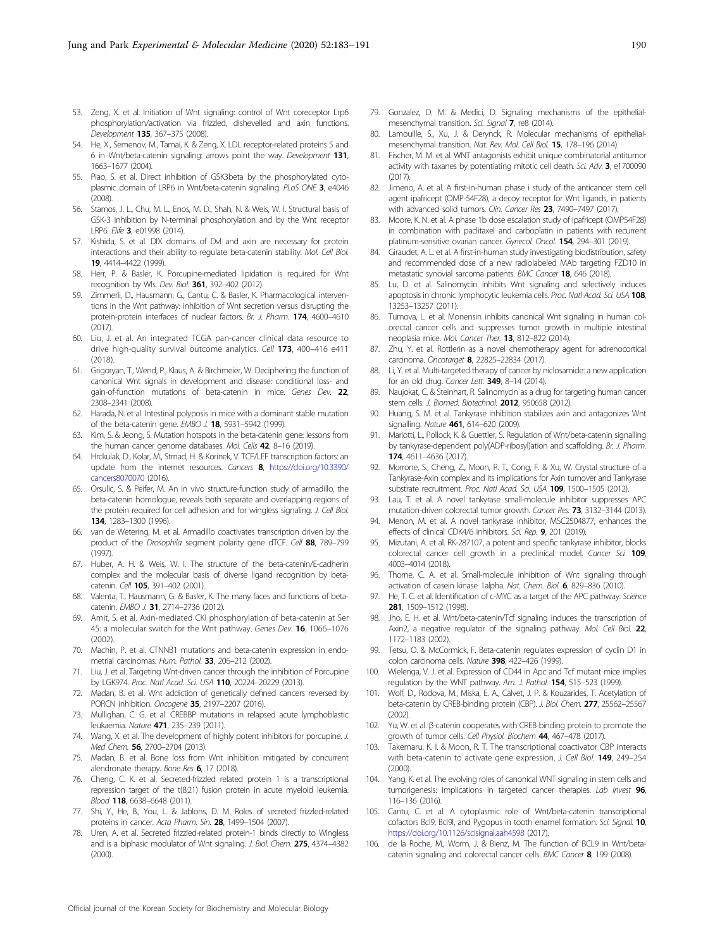- <span id="page-7-0"></span>53. Zeng, X. et al. Initiation of Wnt signaling: control of Wnt coreceptor Lrp6 phosphorylation/activation via frizzled, dishevelled and axin functions. Development 135, 367–375 (2008).
- 54. He, X., Semenov, M., Tamai, K. & Zeng, X. LDL receptor-related proteins 5 and 6 in Wnt/beta-catenin signaling: arrows point the way. Development 131, 1663–1677 (2004).
- 55. Piao, S. et al. Direct inhibition of GSK3beta by the phosphorylated cytoplasmic domain of LRP6 in Wnt/beta-catenin signaling. PLoS ONE 3, e4046 (2008).
- 56. Stamos, J. L., Chu, M. L., Enos, M. D., Shah, N. & Weis, W. I. Structural basis of GSK-3 inhibition by N-terminal phosphorylation and by the Wnt receptor LRP6. Elife 3. e01998 (2014).
- 57. Kishida, S. et al. DIX domains of Dvl and axin are necessary for protein interactions and their ability to regulate beta-catenin stability. Mol. Cell Biol. 19, 4414–4422 (1999).
- 58. Herr, P. & Basler, K. Porcupine-mediated lipidation is required for Wnt recognition by Wls. Dev. Biol. 361, 392–402 (2012).
- 59. Zimmerli, D., Hausmann, G., Cantu, C. & Basler, K. Pharmacological interventions in the Wnt pathway: inhibition of Wnt secretion versus disrupting the protein-protein interfaces of nuclear factors. Br. J. Pharm. 174, 4600–4610  $(2017)$
- 60. Liu, J. et al. An integrated TCGA pan-cancer clinical data resource to drive high-quality survival outcome analytics. Cell 173, 400-416 e411 (2018).
- 61. Grigoryan, T., Wend, P., Klaus, A. & Birchmeier, W. Deciphering the function of canonical Wnt signals in development and disease: conditional loss- and gain-of-function mutations of beta-catenin in mice. Genes Dev. 22, 2308–2341 (2008).
- 62. Harada, N. et al. Intestinal polyposis in mice with a dominant stable mutation of the beta-catenin gene. EMBO J. 18, 5931–5942 (1999).
- 63. Kim, S. & Jeong, S. Mutation hotspots in the beta-catenin gene: lessons from the human cancer genome databases. Mol. Cells 42, 8-16 (2019).
- 64. Hrckulak, D., Kolar, M., Strnad, H. & Korinek, V. TCF/LEF transcription factors: an update from the internet resources. Cancers 8, [https://doi.org/10.3390/](https://doi.org/10.3390/cancers8070070) [cancers8070070](https://doi.org/10.3390/cancers8070070) (2016).
- 65. Orsulic, S. & Peifer, M. An in vivo structure-function study of armadillo, the beta-catenin homologue, reveals both separate and overlapping regions of the protein required for cell adhesion and for wingless signaling. J. Cell Biol. 134, 1283–1300 (1996).
- 66. van de Wetering, M. et al. Armadillo coactivates transcription driven by the product of the Drosophila segment polarity gene dTCF. Cell 88, 789-799 (1997).
- 67. Huber, A. H. & Weis, W. I. The structure of the beta-catenin/E-cadherin complex and the molecular basis of diverse ligand recognition by betacatenin. Cell 105, 391-402 (2001).
- 68. Valenta, T., Hausmann, G. & Basler, K. The many faces and functions of betacatenin. FMBO 1. 31, 2714-2736 (2012).
- 69. Amit, S. et al. Axin-mediated CKI phosphorylation of beta-catenin at Ser 45: a molecular switch for the Wnt pathway. Genes Dev. 16, 1066–1076 (2002).
- 70. Machin, P. et al. CTNNB1 mutations and beta-catenin expression in endometrial carcinomas. Hum. Pathol. 33, 206–212 (2002).
- 71. Liu, J. et al. Targeting Wnt-driven cancer through the inhibition of Porcupine by LGK974. Proc. Natl Acad. Sci. USA 110, 20224-20229 (2013).
- 72. Madan, B. et al. Wnt addiction of genetically defined cancers reversed by PORCN inhibition. Oncogene 35, 2197–2207 (2016).
- 73. Mullighan, C. G. et al. CREBBP mutations in relapsed acute lymphoblastic leukaemia. Nature 471, 235–239 (2011).
- 74. Wang, X. et al. The development of highly potent inhibitors for porcupine. J. Med Chem. 56, 2700–2704 (2013).
- 75. Madan, B. et al. Bone loss from Wnt inhibition mitigated by concurrent alendronate therapy. Bone Res 6, 17 (2018).
- 76. Cheng, C. K. et al. Secreted-frizzled related protein 1 is a transcriptional repression target of the t(8;21) fusion protein in acute myeloid leukemia. Blood 118, 6638–6648 (2011).
- 77. Shi, Y., He, B., You, L. & Jablons, D. M. Roles of secreted frizzled-related proteins in cancer. Acta Pharm. Sin. 28, 1499–1504 (2007).
- 78. Uren, A. et al. Secreted frizzled-related protein-1 binds directly to Wingless and is a biphasic modulator of Wnt signaling. J. Biol. Chem. 275, 4374-4382 (2000).
- 79. Gonzalez, D. M. & Medici, D. Signaling mechanisms of the epithelialmesenchymal transition. Sci. Signal 7, re8 (2014).
- 80. Lamouille, S., Xu, J. & Derynck, R. Molecular mechanisms of epithelialmesenchymal transition. Nat. Rev. Mol. Cell Biol. 15, 178–196 (2014).
- 81. Fischer, M. M. et al. WNT antagonists exhibit unique combinatorial antitumor activity with taxanes by potentiating mitotic cell death. Sci. Adv. 3, e1700090 (2017).
- 82. Jimeno, A. et al. A first-in-human phase i study of the anticancer stem cell agent ipafricept (OMP-54F28), a decoy receptor for Wnt ligands, in patients with advanced solid tumors. Clin. Cancer Res 23, 7490-7497 (2017).
- 83. Moore, K. N. et al. A phase 1b dose escalation study of ipafricept (OMP54F28) in combination with paclitaxel and carboplatin in patients with recurrent platinum-sensitive ovarian cancer. Gynecol. Oncol. 154, 294-301 (2019).
- 84. Giraudet, A. L. et al. A first-in-human study investigating biodistribution, safety and recommended dose of a new radiolabeled MAb targeting FZD10 in metastatic synovial sarcoma patients. BMC Cancer 18, 646 (2018).
- 85. Lu, D. et al. Salinomycin inhibits Wnt signaling and selectively induces apoptosis in chronic lymphocytic leukemia cells. Proc. Natl Acad. Sci. USA 108, 13253–13257 (2011).
- 86. Tumova, L. et al. Monensin inhibits canonical Wnt signaling in human colorectal cancer cells and suppresses tumor growth in multiple intestinal neoplasia mice. Mol. Cancer Ther. 13, 812–822 (2014).
- 87. Zhu, Y. et al. Rottlerin as a novel chemotherapy agent for adrenocortical carcinoma. Oncotarget 8, 22825-22834 (2017).
- 88. Li, Y. et al. Multi-targeted therapy of cancer by niclosamide: a new application for an old drug. Cancer Lett. 349, 8–14 (2014).
- 89. Naujokat, C. & Steinhart, R. Salinomycin as a drug for targeting human cancer stem cells. *J. Biomed. Biotechnol*. **2012**, 950658 (2012).
- 90. Huang, S. M. et al. Tankyrase inhibition stabilizes axin and antagonizes Wnt signalling. Nature **461**, 614-620 (2009).
- 91. Mariotti, L., Pollock, K. & Guettler, S. Regulation of Wnt/beta-catenin signalling by tankyrase-dependent poly(ADP-ribosyl)ation and scaffolding. Br. J. Pharm. 174, 4611–4636 (2017).
- 92. Morrone, S., Cheng, Z., Moon, R. T., Cong, F. & Xu, W. Crystal structure of a Tankyrase-Axin complex and its implications for Axin turnover and Tankyrase substrate recruitment. Proc. Natl Acad. Sci. USA 109, 1500-1505 (2012).
- 93. Lau, T. et al. A novel tankyrase small-molecule inhibitor suppresses APC mutation-driven colorectal tumor growth. Cancer Res. 73, 3132–3144 (2013).
- 94. Menon, M. et al. A novel tankyrase inhibitor, MSC2504877, enhances the effects of clinical CDK4/6 inhibitors. Sci. Rep. 9, 201 (2019).
- 95. Mizutani, A. et al. RK-287107, a potent and specific tankyrase inhibitor, blocks colorectal cancer cell growth in a preclinical model. Cancer Sci. 109, 4003–4014 (2018).
- 96. Thorne, C. A. et al. Small-molecule inhibition of Wnt signaling through activation of casein kinase 1alpha. Nat. Chem. Biol. 6, 829–836 (2010).
- 97. He, T. C. et al. Identification of c-MYC as a target of the APC pathway. Science 281, 1509–1512 (1998).
- 98. Jho, E. H. et al. Wnt/beta-catenin/Tcf signaling induces the transcription of Axin2, a negative regulator of the signaling pathway. Mol. Cell Biol. 22, 1172–1183 (2002).
- 99. Tetsu, O. & McCormick, F. Beta-catenin regulates expression of cyclin D1 in colon carcinoma cells. Nature 398, 422–426 (1999).
- 100. Wielenga, V. J. et al. Expression of CD44 in Apc and Tcf mutant mice implies regulation by the WNT pathway. Am. J. Pathol. 154, 515-523 (1999).
- 101. Wolf, D., Rodova, M., Miska, E. A., Calvet, J. P. & Kouzarides, T. Acetylation of beta-catenin by CREB-binding protein (CBP). J. Biol. Chem. 277, 25562–25567  $(2002)$
- 102. Yu, W. et al. β-catenin cooperates with CREB binding protein to promote the growth of tumor cells. Cell Physiol. Biochem 44, 467-478 (2017).
- 103. Takemaru, K. I. & Moon, R. T. The transcriptional coactivator CBP interacts with beta-catenin to activate gene expression. J. Cell Biol. 149, 249-254 (2000).
- 104. Yang, K. et al. The evolving roles of canonical WNT signaling in stem cells and tumorigenesis: implications in targeted cancer therapies. Lab Invest 96, 116–136 (2016).
- 105. Cantu, C. et al. A cytoplasmic role of Wnt/beta-catenin transcriptional cofactors Bcl9, Bcl9l, and Pygopus in tooth enamel formation. Sci. Signal. 10, <https://doi.org/10.1126/scisignal.aah4598> (2017).
- 106. de la Roche, M., Worm, J. & Bienz, M. The function of BCL9 in Wnt/betacatenin signaling and colorectal cancer cells. BMC Cancer 8, 199 (2008).